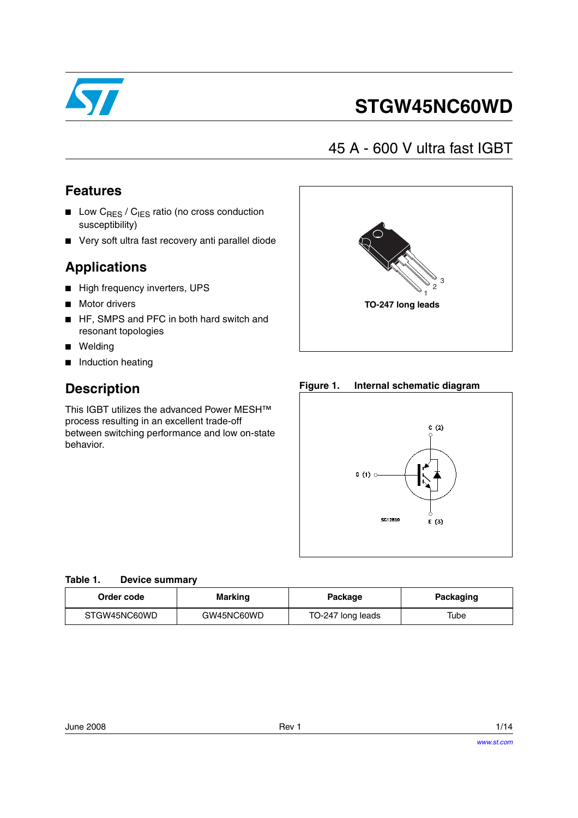

# **STGW45NC60WD**

### 45 A - 600 V ultra fast IGBT

### **Features**

- **■** Low  $C_{BFS}$  /  $C_{IFS}$  ratio (no cross conduction susceptibility)
- Very soft ultra fast recovery anti parallel diode

### **Applications**

- High frequency inverters, UPS
- Motor drivers
- HF, SMPS and PFC in both hard switch and resonant topologies
- Welding
- Induction heating

### **Description**

This IGBT utilizes the advanced Power MESH™ process resulting in an excellent trade-off between switching performance and low on-state behavior.



**Figure 1. Internal schematic diagram**



| Order code   | <b>Marking</b> | Package           | Packaging |
|--------------|----------------|-------------------|-----------|
| STGW45NC60WD | GW45NC60WD     | TO-247 long leads | ™ube      |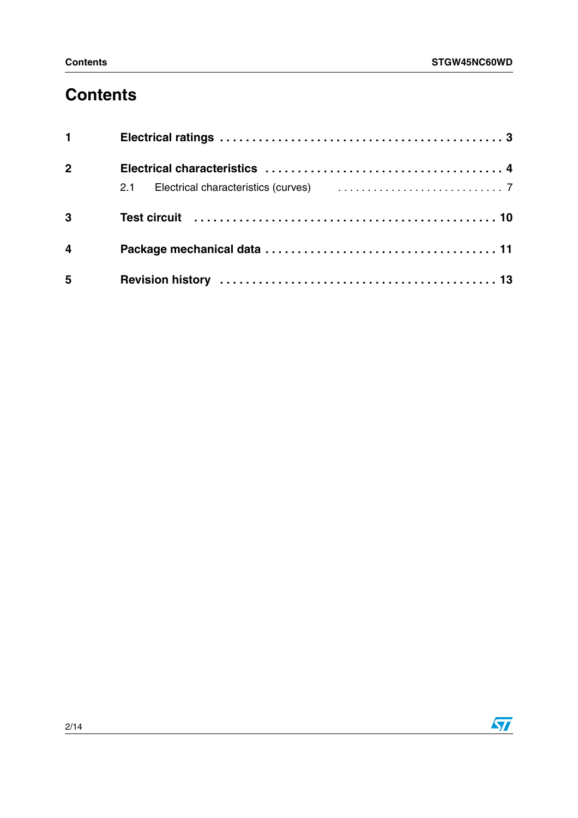# **Contents**

| $1 \quad \Box$          |                                                                                                                |
|-------------------------|----------------------------------------------------------------------------------------------------------------|
| 2 <sup>1</sup>          |                                                                                                                |
|                         | 2.1 Electrical characteristics (curves) [1, 1, 1, 1, 1, 1, 1, 1, 1, 1, 1, 1, 1, 7                              |
| $\overline{3}$          | Test circuit (and international contract of the contract of the contract of the Test of Test of Test of Test o |
| $\overline{\mathbf{4}}$ |                                                                                                                |
| 5                       |                                                                                                                |

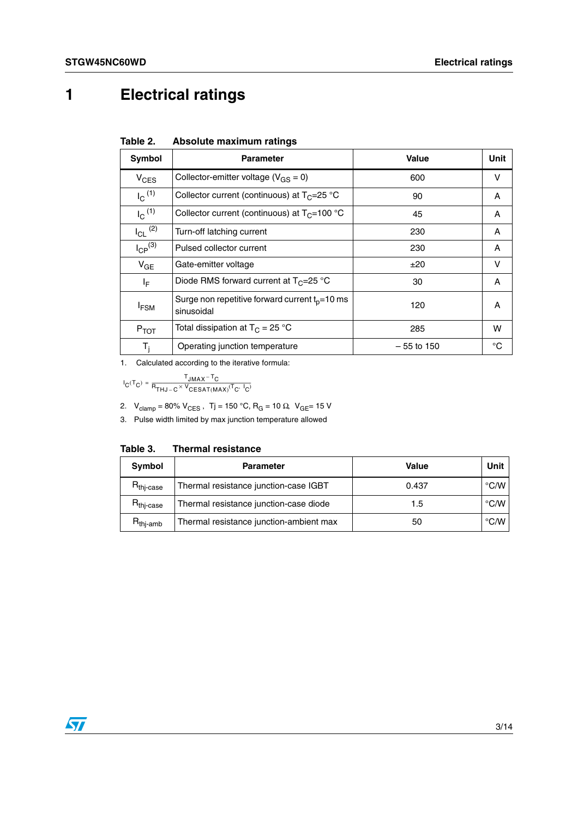# <span id="page-2-0"></span>**1 Electrical ratings**

| Table 2. | Absolute maximum ratings |  |  |
|----------|--------------------------|--|--|
|----------|--------------------------|--|--|

| Symbol                     | <b>Parameter</b>                                                 | Value        | Unit |
|----------------------------|------------------------------------------------------------------|--------------|------|
| $V_{CES}$                  | Collector-emitter voltage ( $V_{GS} = 0$ )                       | 600          | v    |
| $I_{\rm C}$ <sup>(1)</sup> | Collector current (continuous) at $T_C = 25$ °C                  | 90           | A    |
| $I_{\rm C}$ <sup>(1)</sup> | Collector current (continuous) at $T_c = 100 °C$                 | 45           | A    |
| $I_{CL}$ <sup>(2)</sup>    | Turn-off latching current                                        | 230          | A    |
| $I_{CP}$ <sup>(3)</sup>    | Pulsed collector current                                         | 230          | A    |
| $V_{GE}$                   | Gate-emitter voltage                                             | ±20          | v    |
| ΙF                         | Diode RMS forward current at $T_C = 25$ °C                       | 30           | A    |
| <b>IFSM</b>                | Surge non repetitive forward current $t_p = 10$ ms<br>sinusoidal | 120          | A    |
| $P_{TOT}$                  | Total dissipation at $T_C = 25 °C$                               | 285          | w    |
| $T_i$                      | Operating junction temperature                                   | $-55$ to 150 | °C   |

1. Calculated according to the iterative formula:

$$
I_{C}(\mathsf{T}_{C}) = \frac{\mathsf{T}_{JMAX} - \mathsf{T}_{C}}{\mathsf{R}_{\mathsf{T}HJ - C} \times \mathsf{V}_{CESAT(MAX)}(\mathsf{T}_{C}, \mathsf{T}_{C})}
$$

2.  $V_{\text{clamp}} = 80\% V_{\text{CES}}$ , Tj = 150 °C, R<sub>G</sub> = 10  $\Omega$ , V<sub>GE</sub> = 15 V

3. Pulse width limited by max junction temperature allowed

**Table 3. Thermal resistance**

| Symbol                | <b>Parameter</b>                        | Value | Unit          |
|-----------------------|-----------------------------------------|-------|---------------|
| R <sub>thj-case</sub> | Thermal resistance junction-case IGBT   | 0.437 | $\degree$ C/W |
| R <sub>thj-case</sub> | Thermal resistance junction-case diode  | 1.5   | $\degree$ C/W |
| $R_{\text{thi-amb}}$  | Thermal resistance junction-ambient max | 50    | $\degree$ C/W |

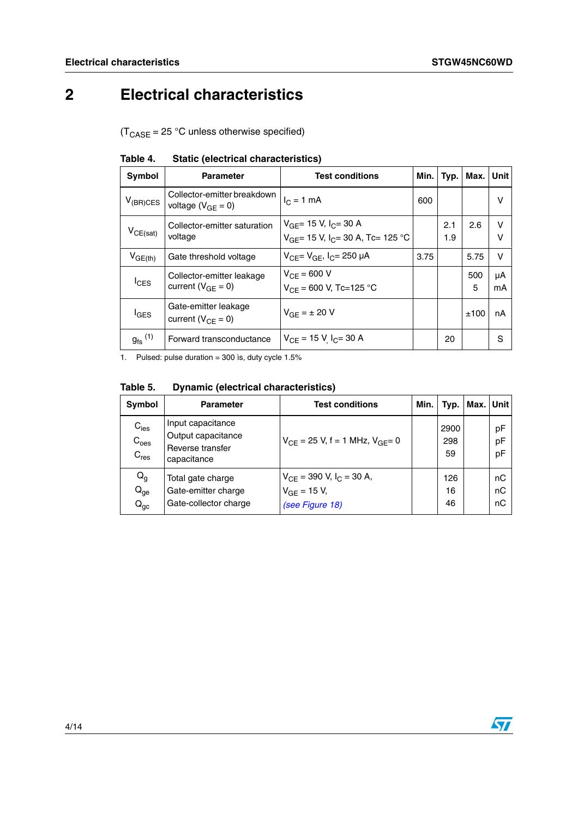# <span id="page-3-0"></span>**2 Electrical characteristics**

 $(T_{\text{CASE}} = 25 \text{ °C}$  unless otherwise specified)

| <b>Symbol</b>         | <b>Parameter</b>                                      | <b>Test conditions</b>                                                                 | Min. | Typ.       | Max.     | Unit     |
|-----------------------|-------------------------------------------------------|----------------------------------------------------------------------------------------|------|------------|----------|----------|
| $V_{(BR)CES}$         | Collector-emitter breakdown<br>voltage $(V_{GF} = 0)$ | $I_C = 1$ mA                                                                           | 600  |            |          | v        |
| $V_{CE(sat)}$         | Collector-emitter saturation<br>voltage               | $V_{GF}$ = 15 V, I <sub>C</sub> = 30 A<br>$V_{GF}$ = 15 V, $I_{C}$ = 30 A, Tc = 125 °C |      | 2.1<br>1.9 | 2.6      | v<br>v   |
| $V_{GE(th)}$          | Gate threshold voltage                                | $V_{CF} = V_{GF}$ , $I_{C} = 250 \mu A$                                                | 3.75 |            | 5.75     | ν        |
| $I_{CES}$             | Collector-emitter leakage<br>current ( $V_{GF} = 0$ ) | $V_{CF} = 600 V$<br>$V_{CF}$ = 600 V, Tc=125 °C                                        |      |            | 500<br>5 | μA<br>mA |
| <sup>I</sup> GES      | Gate-emitter leakage<br>current ( $V_{CF} = 0$ )      | $V_{GE} = \pm 20 V$                                                                    |      |            | ±100     | nA       |
| $g_{\text{fs}}^{(1)}$ | Forward transconductance                              | $V_{CE}$ = 15 V $I_C$ = 30 A                                                           |      | 20         |          | S        |

**Table 4. Static (electrical characteristics)**

1. Pulsed: pulse duration = 300 ìs, duty cycle 1.5%

| Table 5. |  |  | <b>Dynamic (electrical characteristics)</b> |
|----------|--|--|---------------------------------------------|
|----------|--|--|---------------------------------------------|

| <b>Symbol</b>                                     | <b>Parameter</b>                                                           | <b>Test conditions</b>                                                          | Min. | Typ.              | Max. | Unit I         |
|---------------------------------------------------|----------------------------------------------------------------------------|---------------------------------------------------------------------------------|------|-------------------|------|----------------|
| $C_{\text{ies}}$<br>$C_{\text{oes}}$<br>$C_{res}$ | Input capacitance<br>Output capacitance<br>Reverse transfer<br>capacitance | $V_{CF}$ = 25 V, f = 1 MHz, $V_{GF}$ = 0                                        |      | 2900<br>298<br>59 |      | pF<br>pF<br>pF |
| $Q_g$<br>$Q_{ge}$<br>$Q_{gc}$                     | Total gate charge<br>Gate-emitter charge<br>Gate-collector charge          | $V_{CE}$ = 390 V, I <sub>C</sub> = 30 A,<br>$V_{GF}$ = 15 V,<br>(see Figure 18) |      | 126<br>16<br>46   |      | nC<br>nC<br>пC |

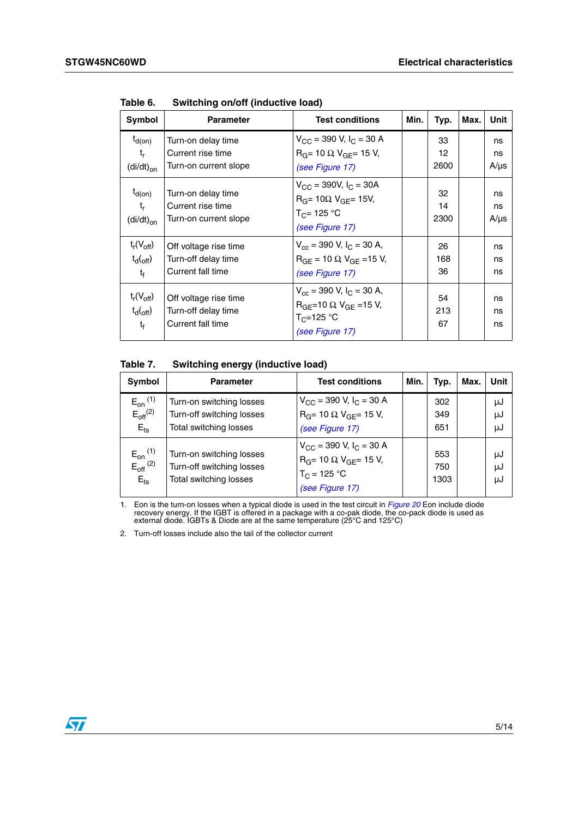| Symbol                                                                           | <b>Parameter</b>                                                  | <b>Test conditions</b>                                                                                                    | Min. | Typ.             | Max. | Unit                  |
|----------------------------------------------------------------------------------|-------------------------------------------------------------------|---------------------------------------------------------------------------------------------------------------------------|------|------------------|------|-----------------------|
| $t_{d(on)}$<br>t,<br>$\left(\frac{di}{dt}\right)_{on}$                           | Turn-on delay time<br>Current rise time<br>Turn-on current slope  | $V_{\text{CC}}$ = 390 V, I <sub>C</sub> = 30 A<br>$R_G$ = 10 $\Omega$ , $V_{GF}$ = 15 V,<br>(see Figure 17)               |      | 33<br>12<br>2600 |      | ns<br>ns<br>$A/\mu s$ |
| $t_{\mathsf{d}( \mathsf{on})}$<br>t,<br>$\left(\frac{di}{dt}\right)_{\text{on}}$ | Turn-on delay time<br>Current rise time<br>Turn-on current slope  | $V_{\text{CC}}$ = 390V, $I_{\text{C}}$ = 30A<br>$R_G = 10 \Omega$ , $V_{GF} = 15V$ ,<br>$T_C = 125 °C$<br>(see Figure 17) |      | 32<br>14<br>2300 |      | ns<br>ns<br>$A/\mu s$ |
| $t_r(V_{off})$<br>$t_{d}$ ( <sub>off</sub> )<br>t <sub>f</sub>                   | Off voltage rise time<br>Turn-off delay time<br>Current fall time | $V_{cc}$ = 390 V, $I_C$ = 30 A,<br>$R_{GF}$ = 10 $\Omega$ , $V_{GF}$ = 15 V,<br>(see Figure 17)                           |      | 26<br>168<br>36  |      | ns<br>ns<br>ns        |
| $t_r(V_{off})$<br>$t_{d}({_{off}})$<br>$t_{\rm f}$                               | Off voltage rise time<br>Turn-off delay time<br>Current fall time | $V_{cc}$ = 390 V, $I_C$ = 30 A,<br>$RGF=10 \Omega VGF=15 V,$<br>$T_C = 125 °C$<br>(see Figure 17)                         |      | 54<br>213<br>67  |      | ns<br>ns<br>ns        |

**Table 6. Switching on/off (inductive load)**

### **Table 7. Switching energy (inductive load)**

| Symbol                                                                     | <b>Parameter</b>                                                                | <b>Test conditions</b>                                                                                                        | Min. | Typ.               | Max. | Unit           |
|----------------------------------------------------------------------------|---------------------------------------------------------------------------------|-------------------------------------------------------------------------------------------------------------------------------|------|--------------------|------|----------------|
| $E_{on}$ <sup>(1)</sup><br>$E_{\text{off}}^{(2)}$<br>$E$ <sub>ts</sub>     | Turn-on switching losses<br>Turn-off switching losses<br>Total switching losses | $V_{\text{CC}}$ = 390 V, I <sub>C</sub> = 30 A<br>$R_G$ = 10 $\Omega$ , $V_{GF}$ = 15 V,<br>(see Figure 17)                   |      | 302<br>349<br>651  |      | μJ<br>μJ<br>μJ |
| $E_{on}$ <sup>(1)</sup><br>$E_{\rm off}$ <sup>(2)</sup><br>$E_{\text{ts}}$ | Turn-on switching losses<br>Turn-off switching losses<br>Total switching losses | $V_{\text{CC}}$ = 390 V, I <sub>C</sub> = 30 A<br>$R_G$ = 10 $\Omega$ , $V_{GF}$ = 15 V,<br>$T_C = 125 °C$<br>(see Figure 17) |      | 553<br>750<br>1303 |      | μJ<br>μJ<br>μJ |

1. Eon is the turn-on losses when a typical diode is used in the test circuit in *[Figure 20](#page-9-3)* Eon include diode recovery energy. If the IGBT is offered in a package with a co-pak diode, the co-pack diode is used as external

2. Turn-off losses include also the tail of the collector current

 $\sqrt{2}$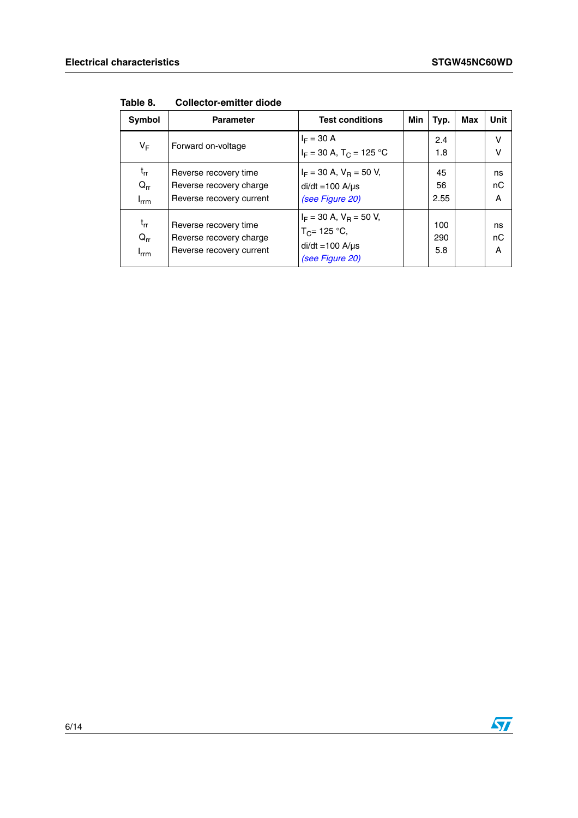| Symbol                                   | <b>Parameter</b>                                                             | <b>Test conditions</b>                                                                         | Min | Typ.              | Max | Unit          |
|------------------------------------------|------------------------------------------------------------------------------|------------------------------------------------------------------------------------------------|-----|-------------------|-----|---------------|
| VF                                       | Forward on-voltage                                                           | $I_F = 30 A$<br>$I_F = 30 A$ , T <sub>C</sub> = 125 °C                                         |     | 2.4<br>1.8        |     | V<br>ν        |
| $t_{rr}$<br>$Q_{rr}$<br>$I_{\text{rrm}}$ | Reverse recovery time<br>Reverse recovery charge<br>Reverse recovery current | $I_F = 30$ A, $V_B = 50$ V,<br>$di/dt = 100 A/\mu s$<br>(see Figure 20)                        |     | 45<br>56<br>2.55  |     | ns<br>пC<br>Α |
| $t_{rr}$<br>$Q_{rr}$<br>$I_{rrm}$        | Reverse recovery time<br>Reverse recovery charge<br>Reverse recovery current | $I_F = 30$ A, $V_B = 50$ V,<br>$T_C = 125 °C$ ,<br>$di/dt = 100$ A/ $\mu$ s<br>(see Figure 20) |     | 100<br>290<br>5.8 |     | ns<br>пC<br>A |

**Table 8. Collector-emitter diode**

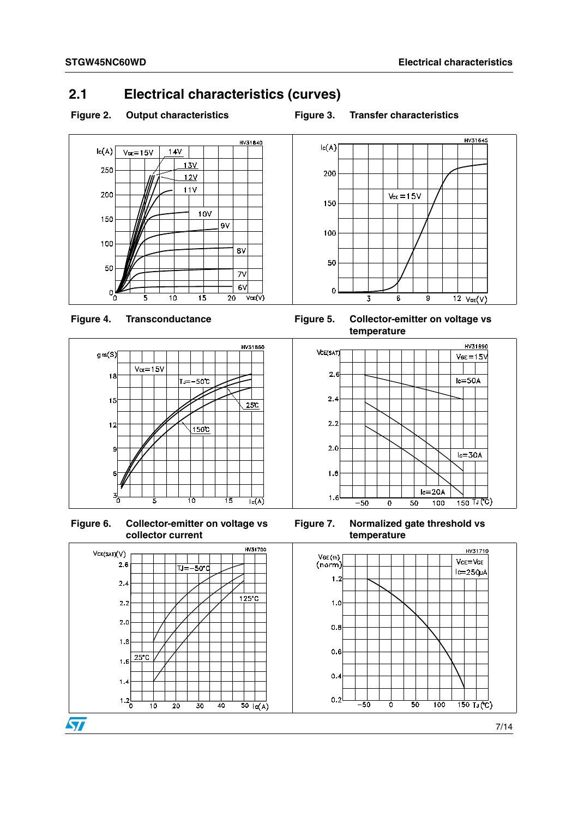### <span id="page-6-0"></span>**2.1 Electrical characteristics (curves)**









**Figure 6. Collector-emitter on voltage vs collector current**



Figure 4. Transconductance **Figure 5. Collector-emitter on voltage vs temperature**



**Figure 7. Normalized gate threshold vs temperature**

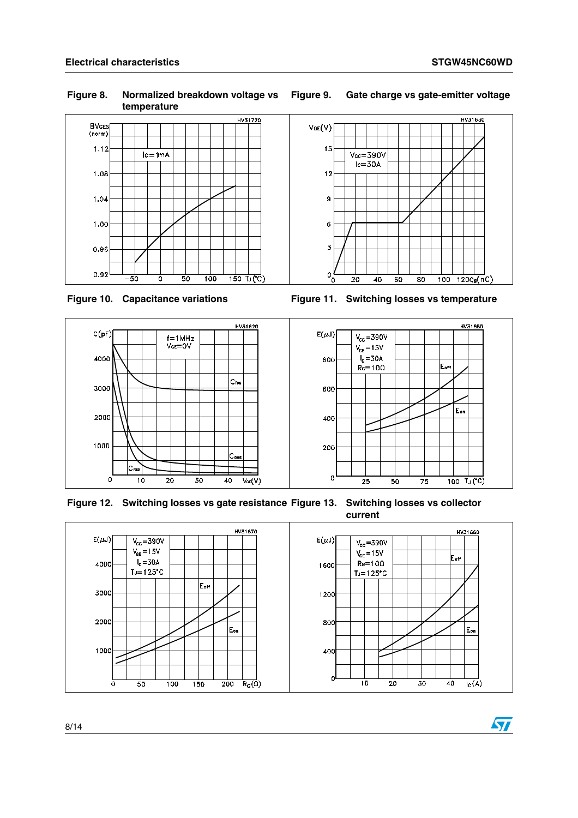$\bm \varpi$ 

**Figure 8. Normalized breakdown voltage vs temperature**







**Figure 12. Switching losses vs gate resistance Figure 13. Switching losses vs collector current**



### **Figure 9. Gate charge vs gate-emitter voltage**



**Figure 10. Capacitance variations Figure 11. Switching losses vs temperature**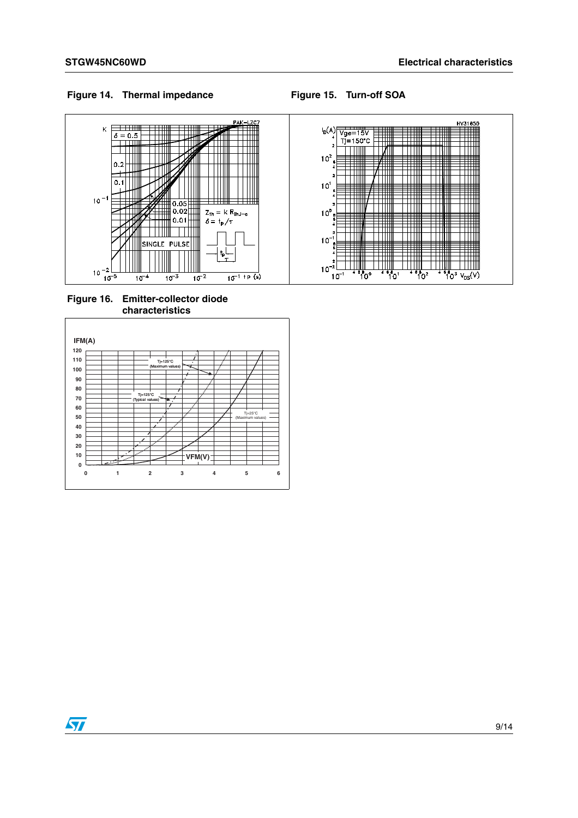



**Figure 16. Emitter-collector diode characteristics**



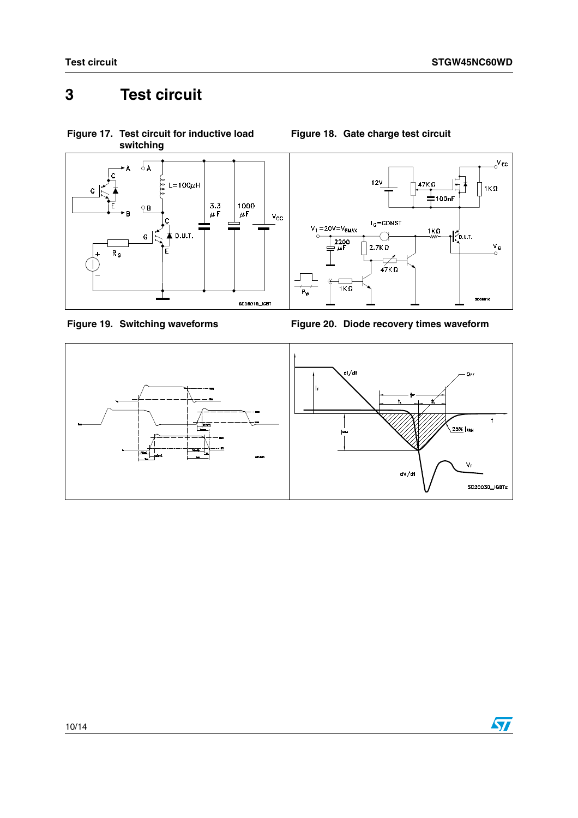## <span id="page-9-0"></span>**3 Test circuit**

<span id="page-9-2"></span>

<span id="page-9-3"></span>





<span id="page-9-1"></span>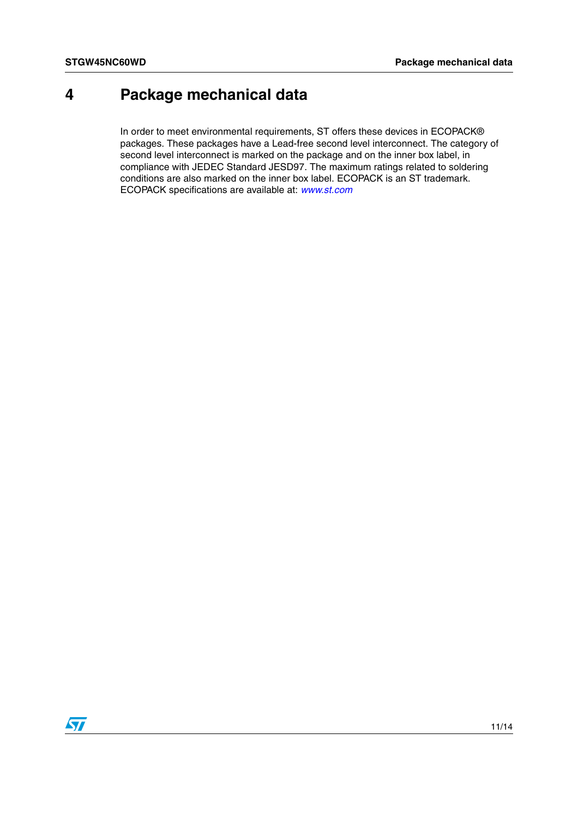## <span id="page-10-0"></span>**4 Package mechanical data**

In order to meet environmental requirements, ST offers these devices in ECOPACK® packages. These packages have a Lead-free second level interconnect. The category of second level interconnect is marked on the package and on the inner box label, in compliance with JEDEC Standard JESD97. The maximum ratings related to soldering conditions are also marked on the inner box label. ECOPACK is an ST trademark. ECOPACK specifications are available at: *[www.st.com](http://www.st.com)*

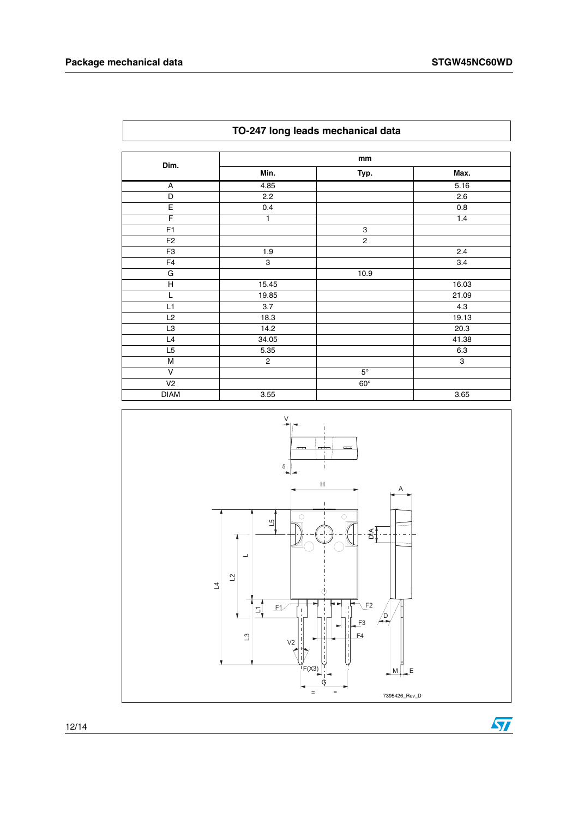$\sqrt{ }$ 

 $\sqrt{2}$ 

| TO-247 long leads mechanical data |              |                |       |
|-----------------------------------|--------------|----------------|-------|
| Dim.                              | mm           |                |       |
|                                   | Min.         | Typ.           | Max.  |
| Α                                 | 4.85         |                | 5.16  |
| D                                 | 2.2          |                | 2.6   |
| E                                 | 0.4          |                | 0.8   |
| F                                 | 1            |                | 1.4   |
| F <sub>1</sub>                    |              | 3              |       |
| F <sub>2</sub>                    |              | $\overline{c}$ |       |
| F <sub>3</sub>                    | 1.9          |                | 2.4   |
| F <sub>4</sub>                    | 3            |                | 3.4   |
| G                                 |              | 10.9           |       |
| н                                 | 15.45        |                | 16.03 |
| L                                 | 19.85        |                | 21.09 |
| L1                                | 3.7          |                | 4.3   |
| L2                                | 18.3         |                | 19.13 |
| L <sub>3</sub>                    | 14.2         |                | 20.3  |
| L4                                | 34.05        |                | 41.38 |
| L <sub>5</sub>                    | 5.35         |                | 6.3   |
| M                                 | $\mathbf{2}$ |                | 3     |
| V                                 |              | $5^\circ$      |       |
| V <sub>2</sub>                    |              | $60^\circ$     |       |
| <b>DIAM</b>                       | 3.55         |                | 3.65  |



12/14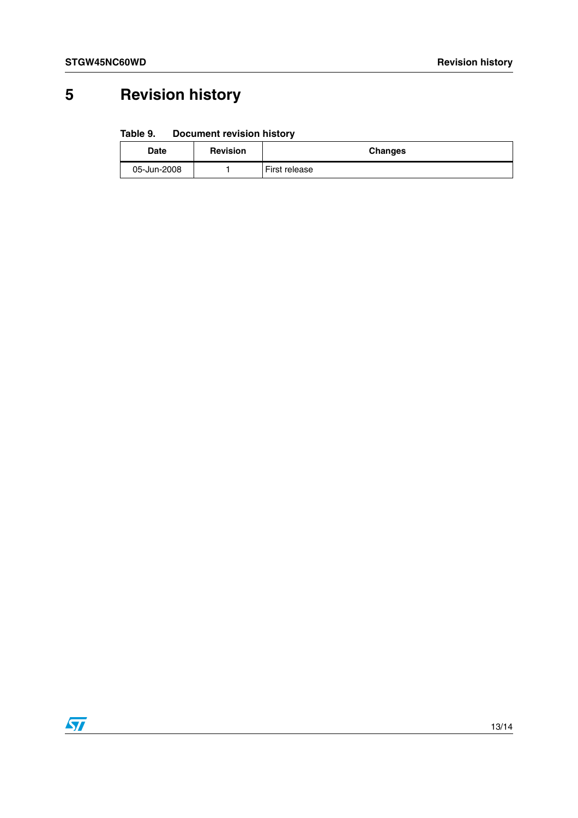# <span id="page-12-0"></span>**5 Revision history**

#### Table 9. **Document revision history**

| Date        | <b>Revision</b> | <b>Changes</b> |
|-------------|-----------------|----------------|
| 05-Jun-2008 |                 | First release  |